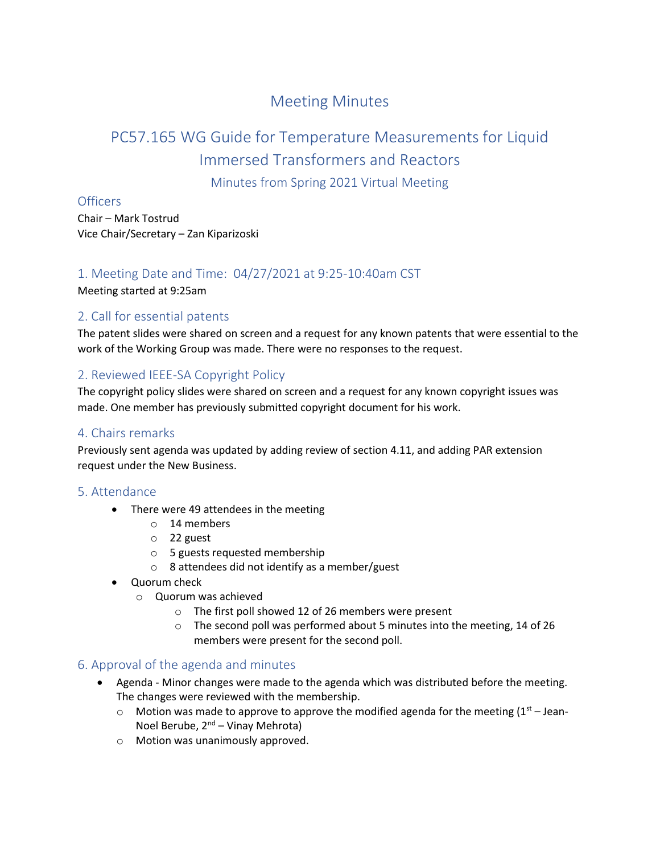# Meeting Minutes

# PC57.165 WG Guide for Temperature Measurements for Liquid Immersed Transformers and Reactors

Minutes from Spring 2021 Virtual Meeting

# **Officers**

Chair – Mark Tostrud Vice Chair/Secretary – Zan Kiparizoski

## 1. Meeting Date and Time: 04/27/2021 at 9:25-10:40am CST

Meeting started at 9:25am

## 2. Call for essential patents

The patent slides were shared on screen and a request for any known patents that were essential to the work of the Working Group was made. There were no responses to the request.

# 2. Reviewed IEEE-SA Copyright Policy

The copyright policy slides were shared on screen and a request for any known copyright issues was made. One member has previously submitted copyright document for his work.

#### 4. Chairs remarks

Previously sent agenda was updated by adding review of section 4.11, and adding PAR extension request under the New Business.

#### 5. Attendance

- There were 49 attendees in the meeting
	- o 14 members
	- o 22 guest
	- o 5 guests requested membership
	- o 8 attendees did not identify as a member/guest
- Quorum check
	- o Quorum was achieved
		- o The first poll showed 12 of 26 members were present
		- $\circ$  The second poll was performed about 5 minutes into the meeting, 14 of 26 members were present for the second poll.

# 6. Approval of the agenda and minutes

- Agenda Minor changes were made to the agenda which was distributed before the meeting. The changes were reviewed with the membership.
	- $\circ$  Motion was made to approve to approve the modified agenda for the meeting (1<sup>st</sup> Jean-Noel Berube, 2nd – Vinay Mehrota)
	- o Motion was unanimously approved.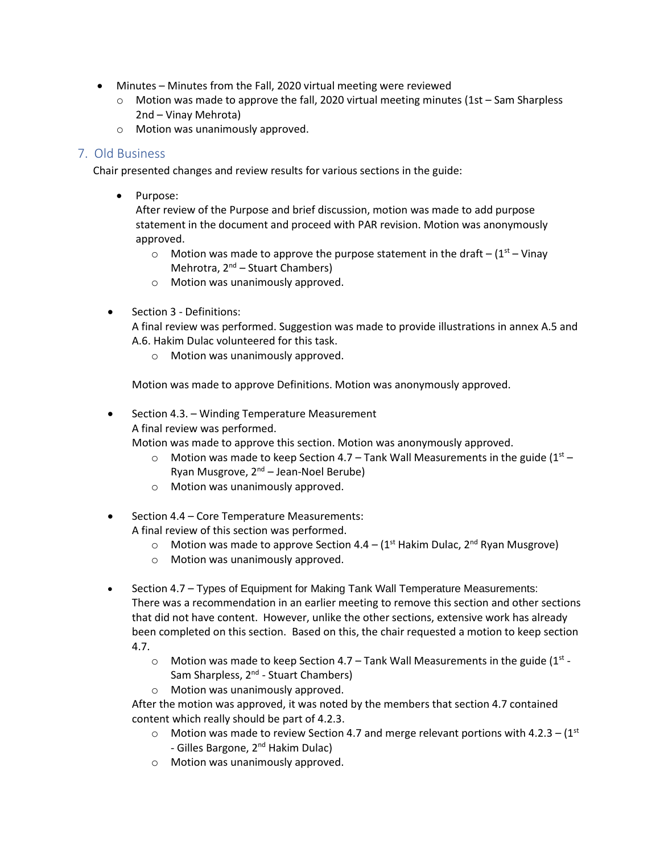- Minutes Minutes from the Fall, 2020 virtual meeting were reviewed
	- $\circ$  Motion was made to approve the fall, 2020 virtual meeting minutes (1st Sam Sharpless 2nd – Vinay Mehrota)
	- o Motion was unanimously approved.

#### 7. Old Business

Chair presented changes and review results for various sections in the guide:

• Purpose:

After review of the Purpose and brief discussion, motion was made to add purpose statement in the document and proceed with PAR revision. Motion was anonymously approved.

- $\circ$  Motion was made to approve the purpose statement in the draft (1st Vinay Mehrotra, 2nd – Stuart Chambers)
- o Motion was unanimously approved.
- Section 3 Definitions:

A final review was performed. Suggestion was made to provide illustrations in annex A.5 and A.6. Hakim Dulac volunteered for this task.

o Motion was unanimously approved.

Motion was made to approve Definitions. Motion was anonymously approved.

• Section 4.3. – Winding Temperature Measurement A final review was performed.

Motion was made to approve this section. Motion was anonymously approved.

- $\circ$  Motion was made to keep Section 4.7 Tank Wall Measurements in the guide (1st Ryan Musgrove,  $2^{nd}$  – Jean-Noel Berube)
- o Motion was unanimously approved.
- Section 4.4 Core Temperature Measurements:

A final review of this section was performed.

- $\circ$  Motion was made to approve Section 4.4 (1<sup>st</sup> Hakim Dulac, 2<sup>nd</sup> Ryan Musgrove)
- o Motion was unanimously approved.
- Section 4.7 Types of Equipment for Making Tank Wall Temperature Measurements: There was a recommendation in an earlier meeting to remove this section and other sections that did not have content. However, unlike the other sections, extensive work has already been completed on this section. Based on this, the chair requested a motion to keep section 4.7.
	- $\circ$  Motion was made to keep Section 4.7 Tank Wall Measurements in the guide (1st -Sam Sharpless, 2<sup>nd</sup> - Stuart Chambers)
	- o Motion was unanimously approved.

After the motion was approved, it was noted by the members that section 4.7 contained content which really should be part of 4.2.3.

- $\circ$  Motion was made to review Section 4.7 and merge relevant portions with 4.2.3 (1st - Gilles Bargone, 2<sup>nd</sup> Hakim Dulac)
- o Motion was unanimously approved.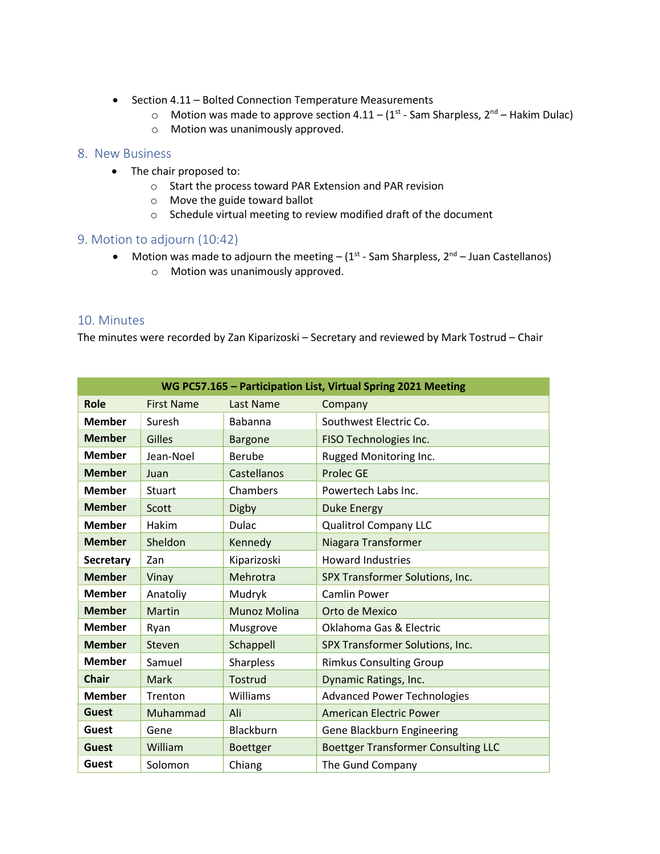- Section 4.11 Bolted Connection Temperature Measurements
	- $\circ$  Motion was made to approve section 4.11 (1<sup>st</sup> Sam Sharpless, 2<sup>nd</sup> Hakim Dulac)
	- o Motion was unanimously approved.

#### 8. New Business

- The chair proposed to:
	- o Start the process toward PAR Extension and PAR revision
	- o Move the guide toward ballot
	- o Schedule virtual meeting to review modified draft of the document

#### 9. Motion to adjourn (10:42)

- Motion was made to adjourn the meeting  $-(1^{st}$  Sam Sharpless,  $2^{nd}$  Juan Castellanos)
	- o Motion was unanimously approved.

#### 10. Minutes

The minutes were recorded by Zan Kiparizoski – Secretary and reviewed by Mark Tostrud – Chair

| WG PC57.165 - Participation List, Virtual Spring 2021 Meeting |                   |                     |                                            |  |
|---------------------------------------------------------------|-------------------|---------------------|--------------------------------------------|--|
| <b>Role</b>                                                   | <b>First Name</b> | Last Name           | Company                                    |  |
| <b>Member</b>                                                 | Suresh            | Babanna             | Southwest Electric Co.                     |  |
| <b>Member</b>                                                 | Gilles            | <b>Bargone</b>      | FISO Technologies Inc.                     |  |
| <b>Member</b>                                                 | Jean-Noel         | Berube              | Rugged Monitoring Inc.                     |  |
| <b>Member</b>                                                 | Juan              | Castellanos         | <b>Prolec GE</b>                           |  |
| <b>Member</b>                                                 | Stuart            | Chambers            | Powertech Labs Inc.                        |  |
| <b>Member</b>                                                 | Scott             | <b>Digby</b>        | <b>Duke Energy</b>                         |  |
| <b>Member</b>                                                 | <b>Hakim</b>      | Dulac               | <b>Qualitrol Company LLC</b>               |  |
| <b>Member</b>                                                 | Sheldon           | Kennedy             | Niagara Transformer                        |  |
| <b>Secretary</b>                                              | Zan               | Kiparizoski         | <b>Howard Industries</b>                   |  |
| <b>Member</b>                                                 | Vinay             | Mehrotra            | SPX Transformer Solutions, Inc.            |  |
| <b>Member</b>                                                 | Anatoliy          | Mudryk              | <b>Camlin Power</b>                        |  |
| <b>Member</b>                                                 | Martin            | <b>Munoz Molina</b> | Orto de Mexico                             |  |
| <b>Member</b>                                                 | Ryan              | Musgrove            | Oklahoma Gas & Electric                    |  |
| <b>Member</b>                                                 | Steven            | Schappell           | SPX Transformer Solutions, Inc.            |  |
| <b>Member</b>                                                 | Samuel            | Sharpless           | <b>Rimkus Consulting Group</b>             |  |
| <b>Chair</b>                                                  | <b>Mark</b>       | <b>Tostrud</b>      | Dynamic Ratings, Inc.                      |  |
| <b>Member</b>                                                 | Trenton           | Williams            | <b>Advanced Power Technologies</b>         |  |
| <b>Guest</b>                                                  | Muhammad          | Ali                 | <b>American Electric Power</b>             |  |
| Guest                                                         | Gene              | <b>Blackburn</b>    | Gene Blackburn Engineering                 |  |
| <b>Guest</b>                                                  | William           | <b>Boettger</b>     | <b>Boettger Transformer Consulting LLC</b> |  |
| Guest                                                         | Solomon           | Chiang              | The Gund Company                           |  |